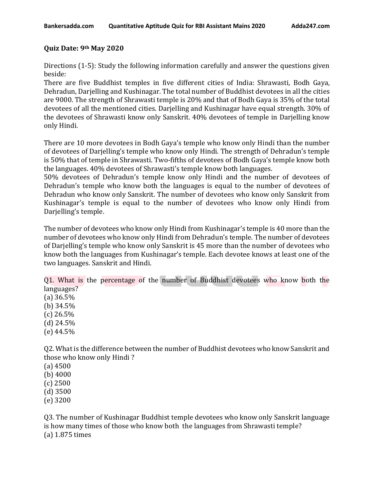## **Quiz Date: 9th May 2020**

Directions (1-5): Study the following information carefully and answer the questions given beside:

There are five Buddhist temples in five different cities of India: Shrawasti, Bodh Gaya, Dehradun, Darjelling and Kushinagar. The total number of Buddhist devotees in all the cities are 9000. The strength of Shrawasti temple is 20% and that of Bodh Gaya is 35% of the total devotees of all the mentioned cities. Darjelling and Kushinagar have equal strength. 30% of the devotees of Shrawasti know only Sanskrit. 40% devotees of temple in Darjelling know only Hindi.

There are 10 more devotees in Bodh Gaya's temple who know only Hindi than the number of devotees of Darjelling's temple who know only Hindi. The strength of Dehradun's temple is 50% that of temple in Shrawasti. Two-fifths of devotees of Bodh Gaya's temple know both the languages. 40% devotees of Shrawasti's temple know both languages.

50% devotees of Dehradun's temple know only Hindi and the number of devotees of Dehradun's temple who know both the languages is equal to the number of devotees of Dehradun who know only Sanskrit. The number of devotees who know only Sanskrit from Kushinagar's temple is equal to the number of devotees who know only Hindi from Darjelling's temple.

The number of devotees who know only Hindi from Kushinagar's temple is 40 more than the number of devotees who know only Hindi from Dehradun's temple. The number of devotees of Darjelling's temple who know only Sanskrit is 45 more than the number of devotees who know both the languages from Kushinagar's temple. Each devotee knows at least one of the two languages. Sanskrit and Hindi.

Q1. What is the percentage of the number of Buddhist devotees who know both the languages?

(a) 36.5% (b) 34.5%  $(c)$  26.5% (d) 24.5% (e) 44.5%

Q2. What is the difference between the number of Buddhist devotees who know Sanskrit and those who know only Hindi ?

(a) 4500

(b) 4000

(c) 2500

(d) 3500

(e) 3200

Q3. The number of Kushinagar Buddhist temple devotees who know only Sanskrit language is how many times of those who know both the languages from Shrawasti temple? (a) 1.875 times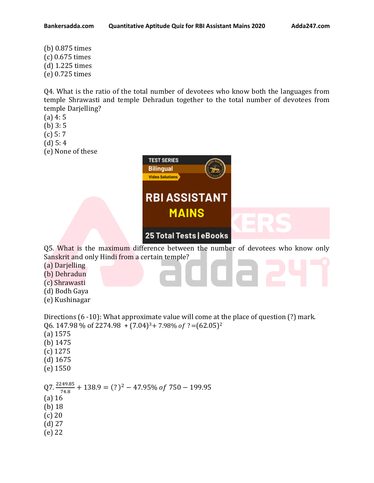(b) 0.875 times (c) 0.675 times (d) 1.225 times (e) 0.725 times

Q4. What is the ratio of the total number of devotees who know both the languages from temple Shrawasti and temple Dehradun together to the total number of devotees from temple Darjelling?

- (a) 4: 5
- (b) 3: 5
- (c) 5: 7
- (d) 5: 4
- (e) None of these



- (a) 16 (b) 18
- (c) 20
- (d) 27
- (e) 22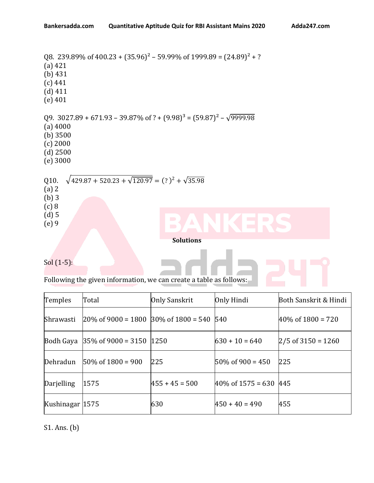```
Q8. 239.89% of 400.23 + (35.96)^2 - 59.99\% of 1999.89 = (24.89)^2 + ?(a) 421
(b) 431
(c) 441
(d) 411
(e) 401
Q9. 3027.89 + 671.93 - 39.87\% of ? + (9.98)^3 = (59.87)^2 - \sqrt{9999.98}(a) 4000
(b) 3500 
(c) 2000
(d) 2500
(e) 3000
Q10. \sqrt{429.87 + 520.23 + \sqrt{120.97}} = (?)^{2} + \sqrt{35.98}(a) 2
(b) 3
(c) 8
(d) 5
(e) 9
                                            Solutions
```
Sol (1-5):

Following the given information, we can create a table as follows:

| Temples         | Total                                                             | Only Sanskrit    | Only Hindi                     | Both Sanskrit & Hindi  |
|-----------------|-------------------------------------------------------------------|------------------|--------------------------------|------------------------|
| Shrawasti       | $ 20\% \text{ of } 9000 = 1800  30\% \text{ of } 1800 = 540  540$ |                  |                                | $40\%$ of $1800 = 720$ |
|                 | Bodh Gaya $ 35\% \text{ of } 9000 = 3150  1250$                   |                  | $630 + 10 = 640$               | $ 2/5$ of 3150 = 1260  |
| Dehradun        | $50\%$ of 1800 = 900                                              | 225              | $50\%$ of 900 = 450            | 225                    |
| Darjelling      | 1575                                                              | $455 + 45 = 500$ | $ 40\% \text{ of } 1575 = 630$ | 445                    |
| Kushinagar 1575 |                                                                   | 630              | $450 + 40 = 490$               | 455                    |

S1. Ans. (b)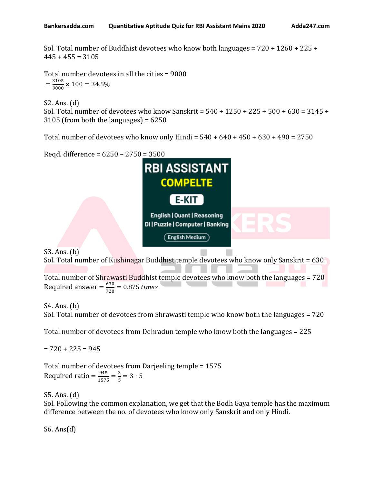Sol. Total number of Buddhist devotees who know both languages = 720 + 1260 + 225 +  $445 + 455 = 3105$ 

Total number devotees in all the cities = 9000  $=\frac{3105}{0000}$  $\frac{3103}{9000}$  × 100 = 34.5%

S2. Ans. (d) Sol. Total number of devotees who know Sanskrit = 540 + 1250 + 225 + 500 + 630 = 3145 +  $3105$  (from both the languages) =  $6250$ 

Total number of devotees who know only Hindi =  $540 + 640 + 450 + 630 + 490 = 2750$ 

Reqd. difference = 6250 – 2750 = 3500



S3. Ans. (b)  $\overline{S}$  Sol. Total number of Kushinagar Buddhist temple devotees who know only Sanskrit = 630

Total number of Shrawasti Buddhist temple devotees who know both the languages = 720 Required answer =  $\frac{630}{720}$  $\frac{630}{720}$  = 0.875 times

S4. Ans. (b)

Sol. Total number of devotees from Shrawasti temple who know both the languages = 720

Total number of devotees from Dehradun temple who know both the languages = 225

 $= 720 + 225 = 945$ 

Total number of devotees from Darjeeling temple = 1575 Required ratio =  $\frac{945}{157}$  $\frac{945}{1575} = \frac{3}{5}$  $\frac{5}{5}$  = 3 : 5

S5. Ans. (d) Sol. Following the common explanation, we get that the Bodh Gaya temple has the maximum difference between the no. of devotees who know only Sanskrit and only Hindi.

S6. Ans $(d)$